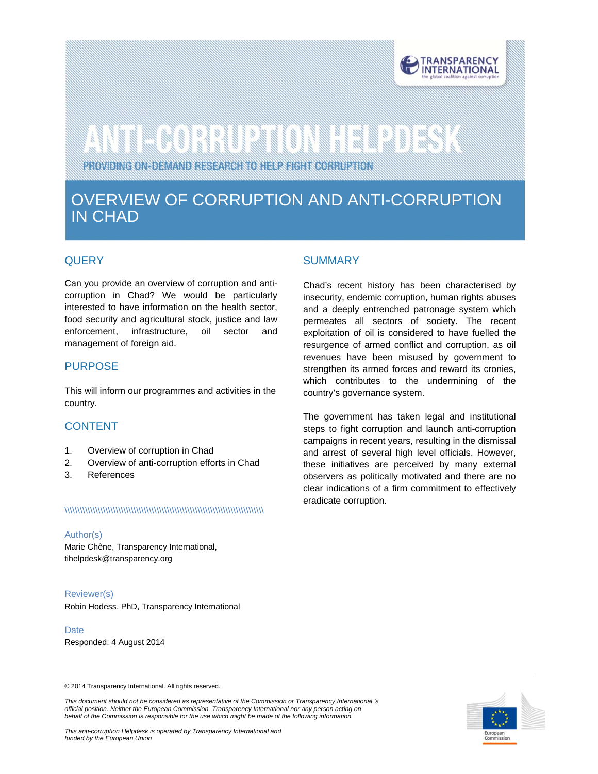

# 

PROVIDING ON-DEMAND RESEARCH TO HELP FIGHT CORRUPTION

# OVERVIEW OF CORRUPTION AND ANTI-CORRUPTION IN CHAD

# **QUERY**

in.

Can you provide an overview of corruption and anticorruption in Chad? We would be particularly interested to have information on the health sector, food security and agricultural stock, justice and law enforcement, infrastructure, oil sector and management of foreign aid.

# PURPOSE

This will inform our programmes and activities in the country.

# CONTENT

- 1. Overview of corruption in Chad
- 2. Overview of anti-corruption efforts in Chad
- 3. References

#### \\\\\\\\\\\\\\\\\\\\\\\\\\\\\\\\\\\\\\\\\\\\\\\\\\\\\\\\\\\\\\\\\\\\\\\\\\\\\\

#### Author(s)

Marie Chêne, Transparency International, tihelpdesk@transparency.org

#### Reviewer(s)

Robin Hodess, PhD, Transparency International

**Date** 

Responded: 4 August 2014

# SUMMARY

Chad's recent history has been characterised by insecurity, endemic corruption, human rights abuses and a deeply entrenched patronage system which permeates all sectors of society. The recent exploitation of oil is considered to have fuelled the resurgence of armed conflict and corruption, as oil revenues have been misused by government to strengthen its armed forces and reward its cronies, which contributes to the undermining of the country's governance system.

The government has taken legal and institutional steps to fight corruption and launch anti-corruption campaigns in recent years, resulting in the dismissal and arrest of several high level officials. However, these initiatives are perceived by many external observers as politically motivated and there are no clear indications of a firm commitment to effectively eradicate corruption.

© 2014 Transparency International. All rights reserved.

*This document should not be considered as representative of the Commission or Transparency International 's official position. Neither the European Commission, Transparency International nor any person acting on behalf of the Commission is responsible for the use which might be made of the following information.* 

*This anti-corruption Helpdesk is operated by Transparency International and funded by the European Union*

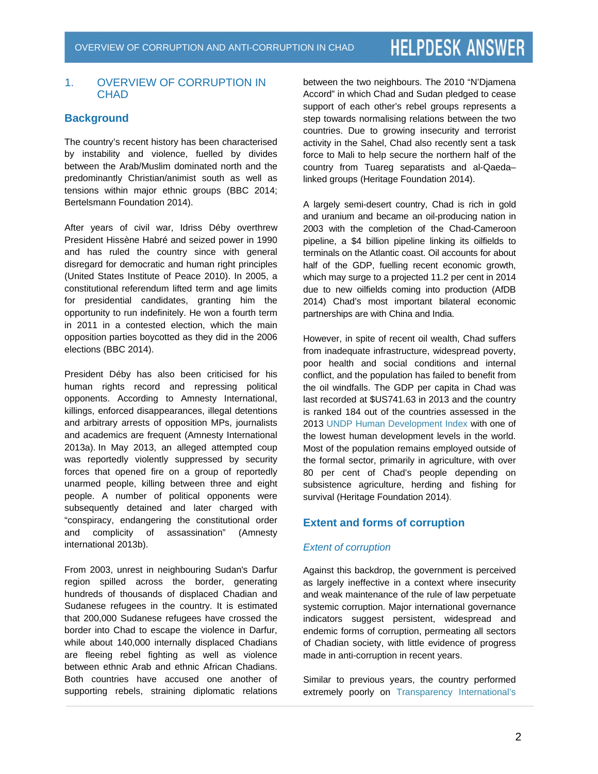# 1. OVERVIEW OF CORRUPTION IN CHAD

# **Background**

The country's recent history has been characterised by instability and violence, fuelled by divides between the Arab/Muslim dominated north and the predominantly Christian/animist south as well as tensions within major ethnic groups (BBC 2014; Bertelsmann Foundation 2014).

After years of civil war, Idriss Déby overthrew President Hissène Habré and seized power in 1990 and has ruled the country since with general disregard for democratic and human right principles (United States Institute of Peace 2010). In 2005, a constitutional referendum lifted term and age limits for presidential candidates, granting him the opportunity to run indefinitely. He won a fourth term in 2011 in a contested election, which the main opposition parties boycotted as they did in the 2006 elections (BBC 2014).

President Déby has also been criticised for his human rights record and repressing political opponents. According to Amnesty International, killings, enforced disappearances, illegal detentions and arbitrary arrests of opposition MPs, journalists and academics are frequent (Amnesty International 2013a). In May 2013, an alleged attempted coup was reportedly violently suppressed by security forces that opened fire on a group of reportedly unarmed people, killing between three and eight people. A number of political opponents were subsequently detained and later charged with "conspiracy, endangering the constitutional order and complicity of assassination" (Amnesty international 2013b).

From 2003, unrest in neighbouring Sudan's Darfur region spilled across the border, generating hundreds of thousands of displaced Chadian and Sudanese refugees in the country. It is estimated that 200,000 Sudanese refugees have crossed the border into Chad to escape the violence in Darfur, while about 140,000 internally displaced Chadians are fleeing rebel fighting as well as violence between ethnic Arab and ethnic African Chadians. Both countries have accused one another of supporting rebels, straining diplomatic relations between the two neighbours. The 2010 "N'Djamena Accord" in which Chad and Sudan pledged to cease support of each other's rebel groups represents a step towards normalising relations between the two countries. Due to growing insecurity and terrorist activity in the Sahel, Chad also recently sent a task force to Mali to help secure the northern half of the country from Tuareg separatists and al-Qaeda– linked groups (Heritage Foundation 2014).

A largely semi-desert country, Chad is rich in gold and uranium and became an oil-producing nation in 2003 with the completion of the Chad-Cameroon pipeline, a \$4 billion pipeline linking its oilfields to terminals on the Atlantic coast. Oil accounts for about half of the GDP, fuelling recent economic growth, which may surge to a projected 11.2 per cent in 2014 due to new oilfields coming into production (AfDB 2014) Chad's most important bilateral economic partnerships are with China and India.

However, in spite of recent oil wealth, Chad suffers from inadequate infrastructure, widespread poverty, poor health and social conditions and internal conflict, and the population has failed to benefit from the oil windfalls. The GDP per capita in Chad was last recorded at \$US741.63 in 2013 and the country is ranked 184 out of the countries assessed in the 2013 UNDP Human Development Index with one of the lowest human development levels in the world. Most of the population remains employed outside of the formal sector, primarily in agriculture, with over 80 per cent of Chad's people depending on subsistence agriculture, herding and fishing for survival (Heritage Foundation 2014).

# **Extent and forms of corruption**

# *Extent of corruption*

Against this backdrop, the government is perceived as largely ineffective in a context where insecurity and weak maintenance of the rule of law perpetuate systemic corruption. Major international governance indicators suggest persistent, widespread and endemic forms of corruption, permeating all sectors of Chadian society, with little evidence of progress made in anti-corruption in recent years.

Similar to previous years, the country performed extremely poorly on Transparency International's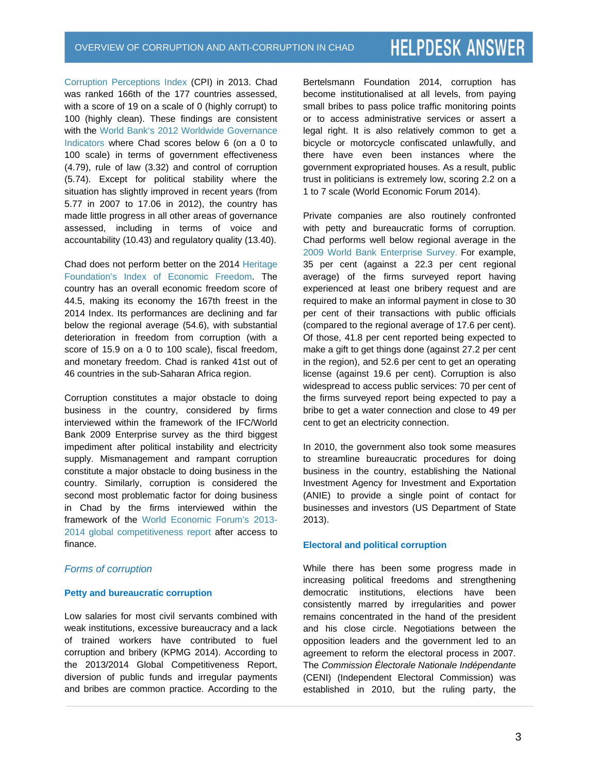Corruption Perceptions Index (CPI) in 2013. Chad was ranked 166th of the 177 countries assessed, with a score of 19 on a scale of 0 (highly corrupt) to 100 (highly clean). These findings are consistent with the World Bank's 2012 Worldwide Governance Indicators where Chad scores below 6 (on a 0 to 100 scale) in terms of government effectiveness (4.79), rule of law (3.32) and control of corruption (5.74). Except for political stability where the situation has slightly improved in recent years (from 5.77 in 2007 to 17.06 in 2012), the country has made little progress in all other areas of governance assessed, including in terms of voice and accountability (10.43) and regulatory quality (13.40).

Chad does not perform better on the 2014 Heritage Foundation's Index of Economic Freedom. The country has an overall economic freedom score of 44.5, making its economy the 167th freest in the 2014 Index. Its performances are declining and far below the regional average (54.6), with substantial deterioration in freedom from corruption (with a score of 15.9 on a 0 to 100 scale), fiscal freedom, and monetary freedom. Chad is ranked 41st out of 46 countries in the sub-Saharan Africa region.

Corruption constitutes a major obstacle to doing business in the country, considered by firms interviewed within the framework of the IFC/World Bank 2009 Enterprise survey as the third biggest impediment after political instability and electricity supply. Mismanagement and rampant corruption constitute a major obstacle to doing business in the country. Similarly, corruption is considered the second most problematic factor for doing business in Chad by the firms interviewed within the framework of the World Economic Forum's 2013- 2014 global competitiveness report after access to finance.

#### *Forms of corruption*

#### **Petty and bureaucratic corruption**

Low salaries for most civil servants combined with weak institutions, excessive bureaucracy and a lack of trained workers have contributed to fuel corruption and bribery (KPMG 2014). According to the 2013/2014 Global Competitiveness Report, diversion of public funds and irregular payments and bribes are common practice. According to the Bertelsmann Foundation 2014, corruption has become institutionalised at all levels, from paying small bribes to pass police traffic monitoring points or to access administrative services or assert a legal right. It is also relatively common to get a bicycle or motorcycle confiscated unlawfully, and there have even been instances where the government expropriated houses. As a result, public trust in politicians is extremely low, scoring 2.2 on a 1 to 7 scale (World Economic Forum 2014).

Private companies are also routinely confronted with petty and bureaucratic forms of corruption. Chad performs well below regional average in the 2009 World Bank Enterprise Survey. For example, 35 per cent (against a 22.3 per cent regional average) of the firms surveyed report having experienced at least one bribery request and are required to make an informal payment in close to 30 per cent of their transactions with public officials (compared to the regional average of 17.6 per cent). Of those, 41.8 per cent reported being expected to make a gift to get things done (against 27.2 per cent in the region), and 52.6 per cent to get an operating license (against 19.6 per cent). Corruption is also widespread to access public services: 70 per cent of the firms surveyed report being expected to pay a bribe to get a water connection and close to 49 per cent to get an electricity connection.

In 2010, the government also took some measures to streamline bureaucratic procedures for doing business in the country, establishing the National Investment Agency for Investment and Exportation (ANIE) to provide a single point of contact for businesses and investors (US Department of State 2013).

#### **Electoral and political corruption**

While there has been some progress made in increasing political freedoms and strengthening democratic institutions, elections have been consistently marred by irregularities and power remains concentrated in the hand of the president and his close circle. Negotiations between the opposition leaders and the government led to an agreement to reform the electoral process in 2007. The *Commission Électorale Nationale Indépendante* (CENI) (Independent Electoral Commission) was established in 2010, but the ruling party, the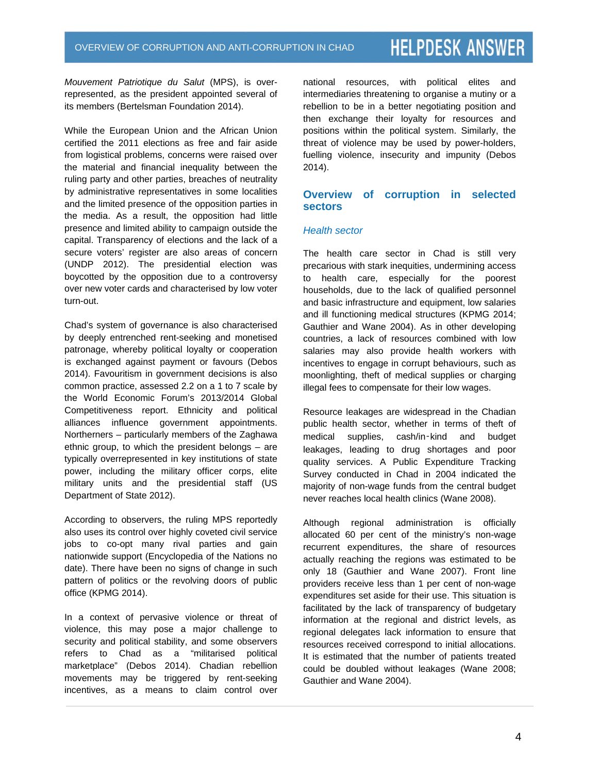*Mouvement Patriotique du Salut* (MPS), is overrepresented, as the president appointed several of its members (Bertelsman Foundation 2014).

While the European Union and the African Union certified the 2011 elections as free and fair aside from logistical problems, concerns were raised over the material and financial inequality between the ruling party and other parties, breaches of neutrality by administrative representatives in some localities and the limited presence of the opposition parties in the media. As a result, the opposition had little presence and limited ability to campaign outside the capital. Transparency of elections and the lack of a secure voters' register are also areas of concern (UNDP 2012). The presidential election was boycotted by the opposition due to a controversy over new voter cards and characterised by low voter turn-out.

Chad's system of governance is also characterised by deeply entrenched rent-seeking and monetised patronage, whereby political loyalty or cooperation is exchanged against payment or favours (Debos 2014). Favouritism in government decisions is also common practice, assessed 2.2 on a 1 to 7 scale by the World Economic Forum's 2013/2014 Global Competitiveness report. Ethnicity and political alliances influence government appointments. Northerners – particularly members of the Zaghawa ethnic group, to which the president belongs – are typically overrepresented in key institutions of state power, including the military officer corps, elite military units and the presidential staff (US Department of State 2012).

According to observers, the ruling MPS reportedly also uses its control over highly coveted civil service jobs to co-opt many rival parties and gain nationwide support (Encyclopedia of the Nations no date). There have been no signs of change in such pattern of politics or the revolving doors of public office (KPMG 2014).

In a context of pervasive violence or threat of violence, this may pose a major challenge to security and political stability, and some observers refers to Chad as a "militarised political marketplace" (Debos 2014). Chadian rebellion movements may be triggered by rent-seeking incentives, as a means to claim control over national resources, with political elites and intermediaries threatening to organise a mutiny or a rebellion to be in a better negotiating position and then exchange their loyalty for resources and positions within the political system. Similarly, the threat of violence may be used by power-holders, fuelling violence, insecurity and impunity (Debos 2014).

# **Overview of corruption in selected sectors**

#### *Health sector*

The health care sector in Chad is still very precarious with stark inequities, undermining access to health care, especially for the poorest households, due to the lack of qualified personnel and basic infrastructure and equipment, low salaries and ill functioning medical structures (KPMG 2014; Gauthier and Wane 2004). As in other developing countries, a lack of resources combined with low salaries may also provide health workers with incentives to engage in corrupt behaviours, such as moonlighting, theft of medical supplies or charging illegal fees to compensate for their low wages.

Resource leakages are widespread in the Chadian public health sector, whether in terms of theft of medical supplies, cash/in‑kind and budget leakages, leading to drug shortages and poor quality services. A Public Expenditure Tracking Survey conducted in Chad in 2004 indicated the majority of non-wage funds from the central budget never reaches local health clinics (Wane 2008).

Although regional administration is officially allocated 60 per cent of the ministry's non-wage recurrent expenditures, the share of resources actually reaching the regions was estimated to be only 18 (Gauthier and Wane 2007). Front line providers receive less than 1 per cent of non-wage expenditures set aside for their use. This situation is facilitated by the lack of transparency of budgetary information at the regional and district levels, as regional delegates lack information to ensure that resources received correspond to initial allocations. It is estimated that the number of patients treated could be doubled without leakages (Wane 2008; Gauthier and Wane 2004).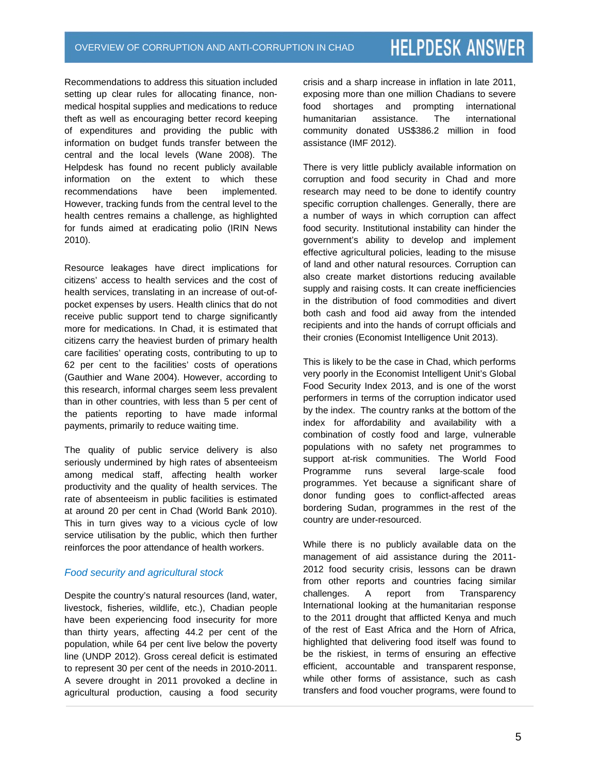Recommendations to address this situation included setting up clear rules for allocating finance, nonmedical hospital supplies and medications to reduce theft as well as encouraging better record keeping of expenditures and providing the public with information on budget funds transfer between the central and the local levels (Wane 2008). The Helpdesk has found no recent publicly available information on the extent to which these recommendations have been implemented. However, tracking funds from the central level to the health centres remains a challenge, as highlighted for funds aimed at eradicating polio (IRIN News 2010).

Resource leakages have direct implications for citizens' access to health services and the cost of health services, translating in an increase of out-ofpocket expenses by users. Health clinics that do not receive public support tend to charge significantly more for medications. In Chad, it is estimated that citizens carry the heaviest burden of primary health care facilities' operating costs, contributing to up to 62 per cent to the facilities' costs of operations (Gauthier and Wane 2004). However, according to this research, informal charges seem less prevalent than in other countries, with less than 5 per cent of the patients reporting to have made informal payments, primarily to reduce waiting time.

The quality of public service delivery is also seriously undermined by high rates of absenteeism among medical staff, affecting health worker productivity and the quality of health services. The rate of absenteeism in public facilities is estimated at around 20 per cent in Chad (World Bank 2010). This in turn gives way to a vicious cycle of low service utilisation by the public, which then further reinforces the poor attendance of health workers.

# *Food security and agricultural stock*

Despite the country's natural resources (land, water, livestock, fisheries, wildlife, etc.), Chadian people have been experiencing food insecurity for more than thirty years, affecting 44.2 per cent of the population, while 64 per cent live below the poverty line (UNDP 2012). Gross cereal deficit is estimated to represent 30 per cent of the needs in 2010-2011. A severe drought in 2011 provoked a decline in agricultural production, causing a food security crisis and a sharp increase in inflation in late 2011, exposing more than one million Chadians to severe food shortages and prompting international humanitarian assistance. The international community donated US\$386.2 million in food assistance (IMF 2012).

There is very little publicly available information on corruption and food security in Chad and more research may need to be done to identify country specific corruption challenges. Generally, there are a number of ways in which corruption can affect food security. Institutional instability can hinder the government's ability to develop and implement effective agricultural policies, leading to the misuse of land and other natural resources. Corruption can also create market distortions reducing available supply and raising costs. It can create inefficiencies in the distribution of food commodities and divert both cash and food aid away from the intended recipients and into the hands of corrupt officials and their cronies (Economist Intelligence Unit 2013).

This is likely to be the case in Chad, which performs very poorly in the Economist Intelligent Unit's Global Food Security Index 2013, and is one of the worst performers in terms of the corruption indicator used by the index. The country ranks at the bottom of the index for affordability and availability with a combination of costly food and large, vulnerable populations with no safety net programmes to support at-risk communities. The World Food Programme runs several large-scale food programmes. Yet because a significant share of donor funding goes to conflict-affected areas bordering Sudan, programmes in the rest of the country are under-resourced.

While there is no publicly available data on the management of aid assistance during the 2011- 2012 food security crisis, lessons can be drawn from other reports and countries facing similar challenges. A report from Transparency International looking at the humanitarian response to the 2011 drought that afflicted Kenya and much of the rest of East Africa and the Horn of Africa, highlighted that delivering food itself was found to be the riskiest, in terms of ensuring an effective efficient, accountable and transparent response, while other forms of assistance, such as cash transfers and food voucher programs, were found to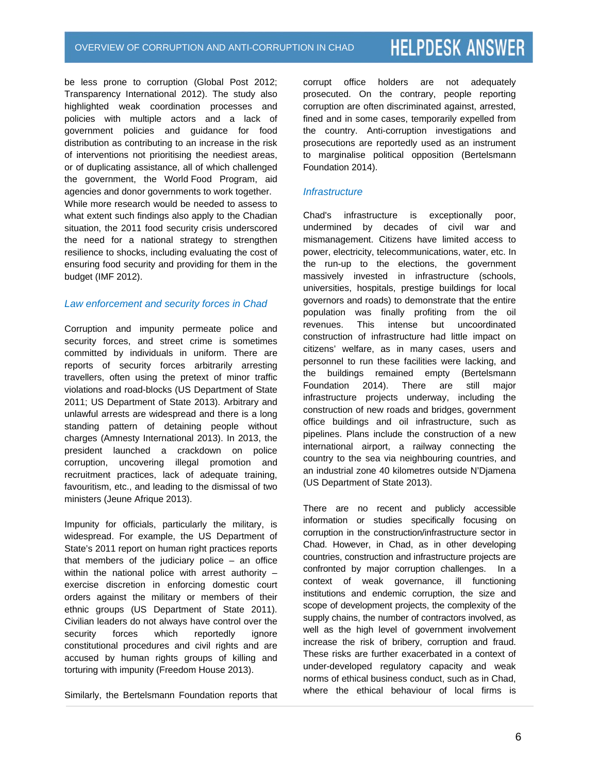be less prone to corruption (Global Post 2012; Transparency International 2012). The study also highlighted weak coordination processes and policies with multiple actors and a lack of government policies and guidance for food distribution as contributing to an increase in the risk of interventions not prioritising the neediest areas, or of duplicating assistance, all of which challenged the government, the World Food Program, aid agencies and donor governments to work together. While more research would be needed to assess to what extent such findings also apply to the Chadian situation, the 2011 food security crisis underscored the need for a national strategy to strengthen resilience to shocks, including evaluating the cost of ensuring food security and providing for them in the budget (IMF 2012).

# *Law enforcement and security forces in Chad*

Corruption and impunity permeate police and security forces, and street crime is sometimes committed by individuals in uniform. There are reports of security forces arbitrarily arresting travellers, often using the pretext of minor traffic violations and road-blocks (US Department of State 2011; US Department of State 2013). Arbitrary and unlawful arrests are widespread and there is a long standing pattern of detaining people without charges (Amnesty International 2013). In 2013, the president launched a crackdown on police corruption, uncovering illegal promotion and recruitment practices, lack of adequate training, favouritism, etc., and leading to the dismissal of two ministers (Jeune Afrique 2013).

Impunity for officials, particularly the military, is widespread. For example, the US Department of State's 2011 report on human right practices reports that members of the judiciary police – an office within the national police with arrest authority – exercise discretion in enforcing domestic court orders against the military or members of their ethnic groups (US Department of State 2011). Civilian leaders do not always have control over the security forces which reportedly ignore constitutional procedures and civil rights and are accused by human rights groups of killing and torturing with impunity (Freedom House 2013).

Similarly, the Bertelsmann Foundation reports that

corrupt office holders are not adequately prosecuted. On the contrary, people reporting corruption are often discriminated against, arrested, fined and in some cases, temporarily expelled from the country. Anti-corruption investigations and prosecutions are reportedly used as an instrument to marginalise political opposition (Bertelsmann Foundation 2014).

# *Infrastructure*

Chad's infrastructure is exceptionally poor, undermined by decades of civil war and mismanagement. Citizens have limited access to power, electricity, telecommunications, water, etc. In the run-up to the elections, the government massively invested in infrastructure (schools, universities, hospitals, prestige buildings for local governors and roads) to demonstrate that the entire population was finally profiting from the oil revenues. This intense but uncoordinated construction of infrastructure had little impact on citizens' welfare, as in many cases, users and personnel to run these facilities were lacking, and the buildings remained empty (Bertelsmann Foundation 2014). There are still major infrastructure projects underway, including the construction of new roads and bridges, government office buildings and oil infrastructure, such as pipelines. Plans include the construction of a new international airport, a railway connecting the country to the sea via neighbouring countries, and an industrial zone 40 kilometres outside N'Djamena (US Department of State 2013).

There are no recent and publicly accessible information or studies specifically focusing on corruption in the construction/infrastructure sector in Chad. However, in Chad, as in other developing countries, construction and infrastructure projects are confronted by major corruption challenges. In a context of weak governance, ill functioning institutions and endemic corruption, the size and scope of development projects, the complexity of the supply chains, the number of contractors involved, as well as the high level of government involvement increase the risk of bribery, corruption and fraud. These risks are further exacerbated in a context of under-developed regulatory capacity and weak norms of ethical business conduct, such as in Chad, where the ethical behaviour of local firms is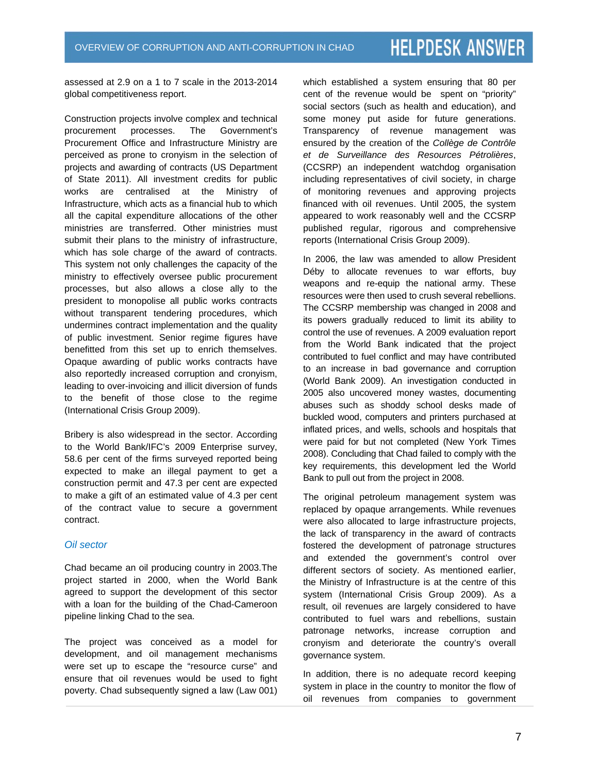assessed at 2.9 on a 1 to 7 scale in the 2013-2014 global competitiveness report.

Construction projects involve complex and technical procurement processes. The Government's Procurement Office and Infrastructure Ministry are perceived as prone to cronyism in the selection of projects and awarding of contracts (US Department of State 2011). All investment credits for public works are centralised at the Ministry of Infrastructure, which acts as a financial hub to which all the capital expenditure allocations of the other ministries are transferred. Other ministries must submit their plans to the ministry of infrastructure, which has sole charge of the award of contracts. This system not only challenges the capacity of the ministry to effectively oversee public procurement processes, but also allows a close ally to the president to monopolise all public works contracts without transparent tendering procedures, which undermines contract implementation and the quality of public investment. Senior regime figures have benefitted from this set up to enrich themselves. Opaque awarding of public works contracts have also reportedly increased corruption and cronyism, leading to over-invoicing and illicit diversion of funds to the benefit of those close to the regime (International Crisis Group 2009).

Bribery is also widespread in the sector. According to the World Bank/IFC's 2009 Enterprise survey, 58.6 per cent of the firms surveyed reported being expected to make an illegal payment to get a construction permit and 47.3 per cent are expected to make a gift of an estimated value of 4.3 per cent of the contract value to secure a government contract.

# *Oil sector*

Chad became an oil producing country in 2003.The project started in 2000, when the World Bank agreed to support the development of this sector with a loan for the building of the Chad-Cameroon pipeline linking Chad to the sea.

The project was conceived as a model for development, and oil management mechanisms were set up to escape the "resource curse" and ensure that oil revenues would be used to fight poverty. Chad subsequently signed a law (Law 001) which established a system ensuring that 80 per cent of the revenue would be spent on "priority" social sectors (such as health and education), and some money put aside for future generations. Transparency of revenue management was ensured by the creation of the *Collège de Contrôle et de Surveillance des Resources Pétrolières*, (CCSRP) an independent watchdog organisation including representatives of civil society, in charge of monitoring revenues and approving projects financed with oil revenues. Until 2005, the system appeared to work reasonably well and the CCSRP published regular, rigorous and comprehensive reports (International Crisis Group 2009).

In 2006, the law was amended to allow President Déby to allocate revenues to war efforts, buy weapons and re-equip the national army. These resources were then used to crush several rebellions. The CCSRP membership was changed in 2008 and its powers gradually reduced to limit its ability to control the use of revenues. A 2009 evaluation report from the World Bank indicated that the project contributed to fuel conflict and may have contributed to an increase in bad governance and corruption (World Bank 2009). An investigation conducted in 2005 also uncovered money wastes, documenting abuses such as shoddy school desks made of buckled wood, computers and printers purchased at inflated prices, and wells, schools and hospitals that were paid for but not completed (New York Times 2008). Concluding that Chad failed to comply with the key requirements, this development led the World Bank to pull out from the project in 2008.

The original petroleum management system was replaced by opaque arrangements. While revenues were also allocated to large infrastructure projects, the lack of transparency in the award of contracts fostered the development of patronage structures and extended the government's control over different sectors of society. As mentioned earlier, the Ministry of Infrastructure is at the centre of this system (International Crisis Group 2009). As a result, oil revenues are largely considered to have contributed to fuel wars and rebellions, sustain patronage networks, increase corruption and cronyism and deteriorate the country's overall governance system.

In addition, there is no adequate record keeping system in place in the country to monitor the flow of oil revenues from companies to government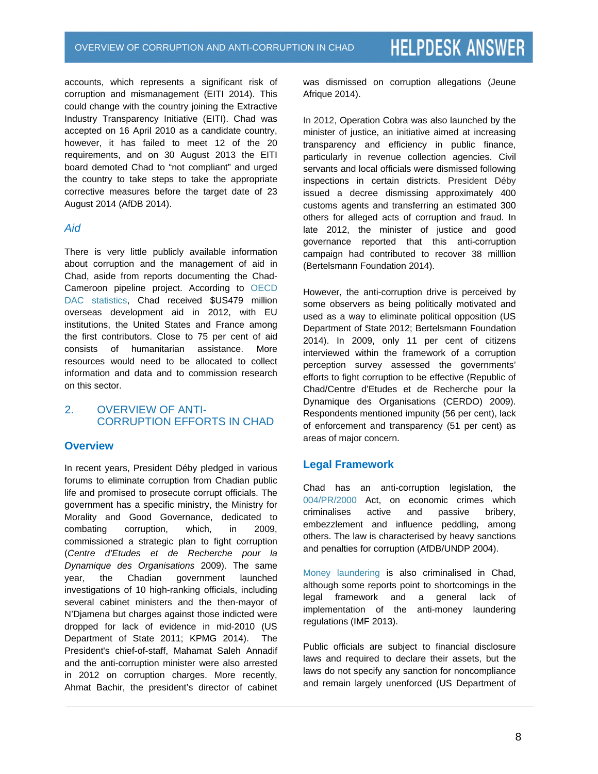accounts, which represents a significant risk of corruption and mismanagement (EITI 2014). This could change with the country joining the Extractive Industry Transparency Initiative (EITI). Chad was accepted on 16 April 2010 as a candidate country, however, it has failed to meet 12 of the 20 requirements, and on 30 August 2013 the EITI board demoted Chad to "not compliant" and urged the country to take steps to take the appropriate corrective measures before the target date of 23 August 2014 (AfDB 2014).

# *Aid*

There is very little publicly available information about corruption and the management of aid in Chad, aside from reports documenting the Chad-Cameroon pipeline project. According to OECD DAC statistics, Chad received \$US479 million overseas development aid in 2012, with EU institutions, the United States and France among the first contributors. Close to 75 per cent of aid consists of humanitarian assistance. More resources would need to be allocated to collect information and data and to commission research on this sector.

# 2. OVERVIEW OF ANTI-CORRUPTION EFFORTS IN CHAD

# **Overview**

In recent years, President Déby pledged in various forums to eliminate corruption from Chadian public life and promised to prosecute corrupt officials. The government has a specific ministry, the Ministry for Morality and Good Governance, dedicated to combating corruption, which, in 2009, commissioned a strategic plan to fight corruption (*Centre d'Etudes et de Recherche pour la Dynamique des Organisations* 2009). The same year, the Chadian government launched investigations of 10 high-ranking officials, including several cabinet ministers and the then-mayor of N'Djamena but charges against those indicted were dropped for lack of evidence in mid-2010 (US Department of State 2011; KPMG 2014). The President's chief-of-staff, Mahamat Saleh Annadif and the anti-corruption minister were also arrested in 2012 on corruption charges. More recently, Ahmat Bachir, the president's director of cabinet was dismissed on corruption allegations (Jeune Afrique 2014).

In 2012, Operation Cobra was also launched by the minister of justice, an initiative aimed at increasing transparency and efficiency in public finance, particularly in revenue collection agencies. Civil servants and local officials were dismissed following inspections in certain districts. President Déby issued a decree dismissing approximately 400 customs agents and transferring an estimated 300 others for alleged acts of corruption and fraud. In late 2012, the minister of justice and good governance reported that this anti-corruption campaign had contributed to recover 38 milllion (Bertelsmann Foundation 2014).

However, the anti-corruption drive is perceived by some observers as being politically motivated and used as a way to eliminate political opposition (US Department of State 2012; Bertelsmann Foundation 2014). In 2009, only 11 per cent of citizens interviewed within the framework of a corruption perception survey assessed the governments' efforts to fight corruption to be effective (Republic of Chad/Centre d'Etudes et de Recherche pour la Dynamique des Organisations (CERDO) 2009). Respondents mentioned impunity (56 per cent), lack of enforcement and transparency (51 per cent) as areas of major concern.

# **Legal Framework**

Chad has an anti-corruption legislation, the 004/PR/2000 Act, on economic crimes which criminalises active and passive bribery, embezzlement and influence peddling, among others. The law is characterised by heavy sanctions and penalties for corruption (AfDB/UNDP 2004).

Money laundering is also criminalised in Chad, although some reports point to shortcomings in the legal framework and a general lack of implementation of the anti-money laundering regulations (IMF 2013).

Public officials are subject to financial disclosure laws and required to declare their assets, but the laws do not specify any sanction for noncompliance and remain largely unenforced (US Department of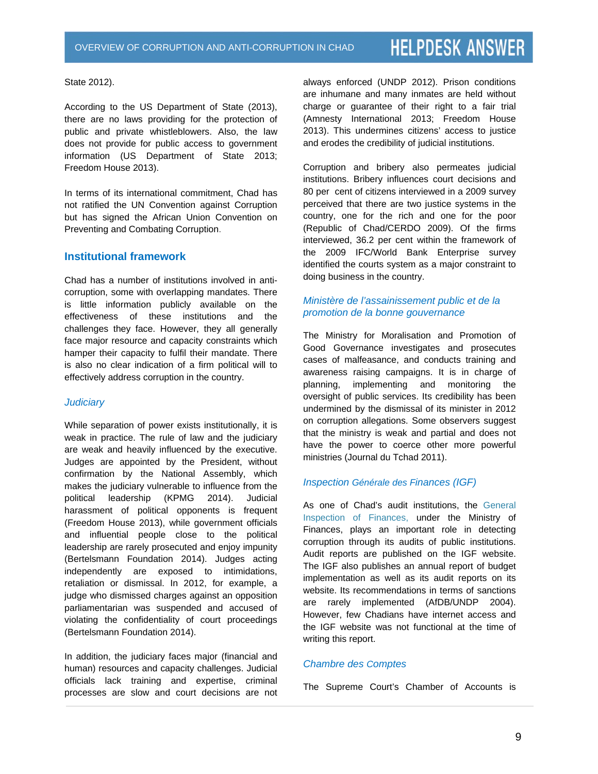State 2012).

According to the US Department of State (2013), there are no laws providing for the protection of public and private whistleblowers. Also, the law does not provide for public access to government information (US Department of State 2013; Freedom House 2013).

In terms of its international commitment, Chad has not ratified the UN Convention against Corruption but has signed the African Union Convention on Preventing and Combating Corruption.

# **Institutional framework**

Chad has a number of institutions involved in anticorruption, some with overlapping mandates. There is little information publicly available on the effectiveness of these institutions and the challenges they face. However, they all generally face major resource and capacity constraints which hamper their capacity to fulfil their mandate. There is also no clear indication of a firm political will to effectively address corruption in the country.

# *Judiciary*

While separation of power exists institutionally, it is weak in practice. The rule of law and the judiciary are weak and heavily influenced by the executive. Judges are appointed by the President, without confirmation by the National Assembly, which makes the judiciary vulnerable to influence from the political leadership (KPMG 2014). Judicial harassment of political opponents is frequent (Freedom House 2013), while government officials and influential people close to the political leadership are rarely prosecuted and enjoy impunity (Bertelsmann Foundation 2014). Judges acting independently are exposed to intimidations, retaliation or dismissal. In 2012, for example, a judge who dismissed charges against an opposition parliamentarian was suspended and accused of violating the confidentiality of court proceedings (Bertelsmann Foundation 2014).

In addition, the judiciary faces major (financial and human) resources and capacity challenges. Judicial officials lack training and expertise, criminal processes are slow and court decisions are not always enforced (UNDP 2012). Prison conditions are inhumane and many inmates are held without charge or guarantee of their right to a fair trial (Amnesty International 2013; Freedom House 2013). This undermines citizens' access to justice and erodes the credibility of judicial institutions.

Corruption and bribery also permeates judicial institutions. Bribery influences court decisions and 80 per cent of citizens interviewed in a 2009 survey perceived that there are two justice systems in the country, one for the rich and one for the poor (Republic of Chad/CERDO 2009). Of the firms interviewed, 36.2 per cent within the framework of the 2009 IFC/World Bank Enterprise survey identified the courts system as a major constraint to doing business in the country.

# *Ministère de l'assainissement public et de la promotion de la bonne gouvernance*

The Ministry for Moralisation and Promotion of Good Governance investigates and prosecutes cases of malfeasance, and conducts training and awareness raising campaigns. It is in charge of planning, implementing and monitoring the oversight of public services. Its credibility has been undermined by the dismissal of its minister in 2012 on corruption allegations. Some observers suggest that the ministry is weak and partial and does not have the power to coerce other more powerful ministries (Journal du Tchad 2011).

# *Inspection Générale des Finances (IGF)*

As one of Chad's audit institutions, the General Inspection of Finances, under the Ministry of Finances, plays an important role in detecting corruption through its audits of public institutions. Audit reports are published on the IGF website. The IGF also publishes an annual report of budget implementation as well as its audit reports on its website. Its recommendations in terms of sanctions are rarely implemented (AfDB/UNDP 2004). However, few Chadians have internet access and the IGF website was not functional at the time of writing this report.

# *Chambre des Comptes*

The Supreme Court's Chamber of Accounts is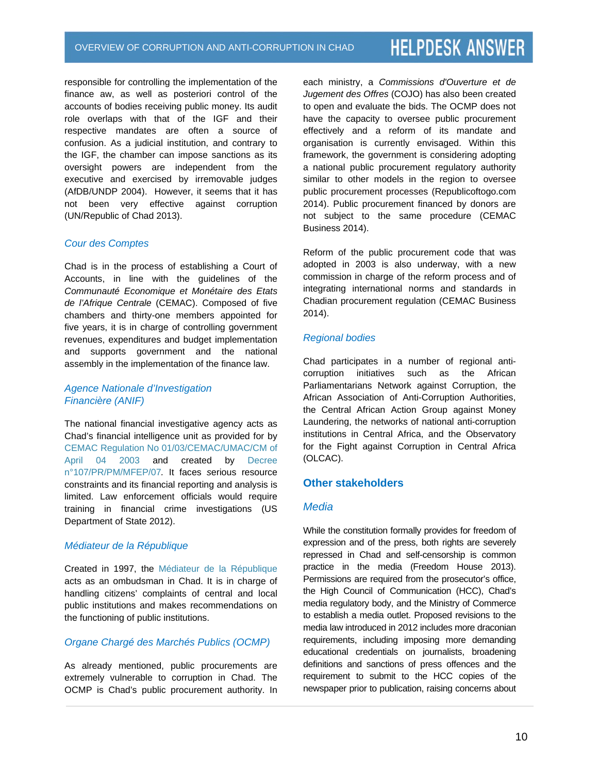responsible for controlling the implementation of the finance aw, as well as posteriori control of the accounts of bodies receiving public money. Its audit role overlaps with that of the IGF and their respective mandates are often a source of confusion. As a judicial institution, and contrary to the IGF, the chamber can impose sanctions as its oversight powers are independent from the executive and exercised by irremovable judges (AfDB/UNDP 2004). However, it seems that it has not been very effective against corruption (UN/Republic of Chad 2013).

#### *Cour des Comptes*

Chad is in the process of establishing a Court of Accounts, in line with the guidelines of the *Communauté Economique et Monétaire des Etats de l'Afrique Centrale* (CEMAC). Composed of five chambers and thirty-one members appointed for five years, it is in charge of controlling government revenues, expenditures and budget implementation and supports government and the national assembly in the implementation of the finance law.

# *Agence Nationale d'Investigation Financière (ANIF)*

The national financial investigative agency acts as Chad's financial intelligence unit as provided for by CEMAC Regulation No 01/03/CEMAC/UMAC/CM of April 04 2003 and created by Decree n°107/PR/PM/MFEP/07*.* It faces *s*erious resource constraints and its financial reporting and analysis is limited. Law enforcement officials would require training in financial crime investigations (US Department of State 2012).

# *Médiateur de la République*

Created in 1997, the Médiateur de la République acts as an ombudsman in Chad. It is in charge of handling citizens' complaints of central and local public institutions and makes recommendations on the functioning of public institutions.

# *Organe Chargé des Marchés Publics (OCMP)*

As already mentioned, public procurements are extremely vulnerable to corruption in Chad. The OCMP is Chad's public procurement authority. In each ministry, a *Commissions d'Ouverture et de Jugement des Offres* (COJO) has also been created to open and evaluate the bids. The OCMP does not have the capacity to oversee public procurement effectively and a reform of its mandate and organisation is currently envisaged. Within this framework, the government is considering adopting a national public procurement regulatory authority similar to other models in the region to oversee public procurement processes (Republicoftogo.com 2014). Public procurement financed by donors are not subject to the same procedure (CEMAC Business 2014).

Reform of the public procurement code that was adopted in 2003 is also underway, with a new commission in charge of the reform process and of integrating international norms and standards in Chadian procurement regulation (CEMAC Business 2014).

#### *Regional bodies*

Chad participates in a number of regional anticorruption initiatives such as the African Parliamentarians Network against Corruption, the African Association of Anti-Corruption Authorities, the Central African Action Group against Money Laundering, the networks of national anti-corruption institutions in Central Africa, and the Observatory for the Fight against Corruption in Central Africa (OLCAC).

# **Other stakeholders**

# *Media*

While the constitution formally provides for freedom of expression and of the press, both rights are severely repressed in Chad and self-censorship is common practice in the media (Freedom House 2013). Permissions are required from the prosecutor's office, the High Council of Communication (HCC), Chad's media regulatory body, and the Ministry of Commerce to establish a media outlet. Proposed revisions to the media law introduced in 2012 includes more draconian requirements, including imposing more demanding educational credentials on journalists, broadening definitions and sanctions of press offences and the requirement to submit to the HCC copies of the newspaper prior to publication, raising concerns about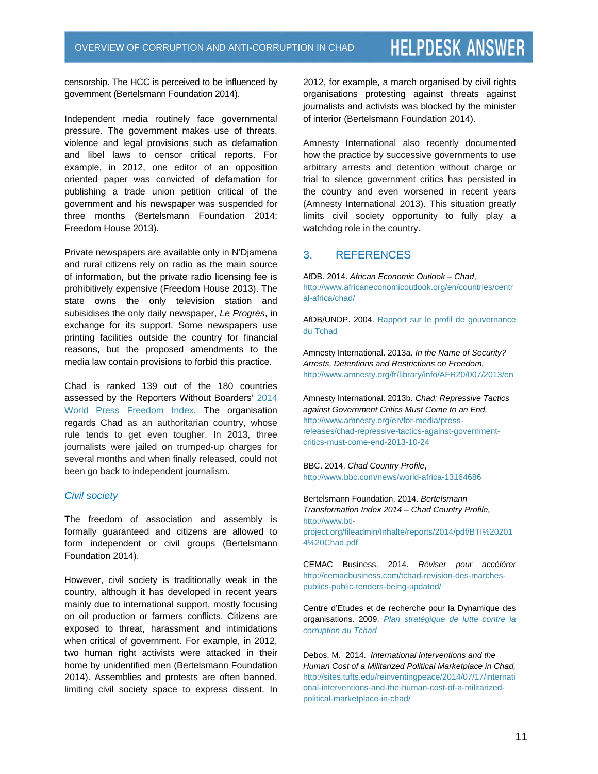censorship. The HCC is perceived to be influenced by government (Bertelsmann Foundation 2014).

Independent media routinely face governmental pressure. The government makes use of threats, violence and legal provisions such as defamation and libel laws to censor critical reports. For example, in 2012, one editor of an opposition oriented paper was convicted of defamation for publishing a trade union petition critical of the government and his newspaper was suspended for three months (Bertelsmann Foundation 2014; Freedom House 2013).

Private newspapers are available only in N'Djamena and rural citizens rely on radio as the main source of information, but the private radio licensing fee is prohibitively expensive (Freedom House 2013). The state owns the only television station and subisidises the only daily newspaper, *Le Progrès*, in exchange for its support. Some newspapers use printing facilities outside the country for financial reasons, but the proposed amendments to the media law contain provisions to forbid this practice.

Chad is ranked 139 out of the 180 countries assessed by the Reporters Without Boarders' 2014 World Press Freedom Index. The organisation regards Chad as an authoritarian country, whose rule tends to get even tougher. In 2013, three journalists were jailed on trumped-up charges for several months and when finally released, could not been go back to independent journalism.

#### *Civil society*

The freedom of association and assembly is formally guaranteed and citizens are allowed to form independent or civil groups (Bertelsmann Foundation 2014).

However, civil society is traditionally weak in the country, although it has developed in recent years mainly due to international support, mostly focusing on oil production or farmers conflicts. Citizens are exposed to threat, harassment and intimidations when critical of government. For example, in 2012, two human right activists were attacked in their home by unidentified men (Bertelsmann Foundation 2014). Assemblies and protests are often banned, limiting civil society space to express dissent. In 2012, for example, a march organised by civil rights organisations protesting against threats against journalists and activists was blocked by the minister of interior (Bertelsmann Foundation 2014).

Amnesty International also recently documented how the practice by successive governments to use arbitrary arrests and detention without charge or trial to silence government critics has persisted in the country and even worsened in recent years (Amnesty International 2013). This situation greatly limits civil society opportunity to fully play a watchdog role in the country.

# 3. REFERENCES

AfDB. 2014. *African Economic Outlook – Chad*, http://www.africaneconomicoutlook.org/en/countries/centr al-africa/chad/

AfDB/UNDP. 2004. Rapport sur le profil de gouvernance du Tchad

Amnesty International. 2013a. *In the Name of Security? Arrests, Detentions and Restrictions on Freedom,*  http://www.amnesty.org/fr/library/info/AFR20/007/2013/en

Amnesty International. 2013b. *Chad: Repressive Tactics against Government Critics Must Come to an End,* http://www.amnesty.org/en/for-media/pressreleases/chad-repressive-tactics-against-governmentcritics-must-come-end-2013-10-24

BBC. 2014. *Chad Country Profile*, http://www.bbc.com/news/world-africa-13164686

Bertelsmann Foundation. 2014. *Bertelsmann Transformation Index 2014 – Chad Country Profile,* http://www.btiproject.org/fileadmin/Inhalte/reports/2014/pdf/BTI%20201 4%20Chad.pdf

CEMAC Business. 2014. *Réviser pour accélérer* http://cemacbusiness.com/tchad-revision-des-marchespublics-public-tenders-being-updated/

Centre d'Etudes et de recherche pour la Dynamique des organisations. 2009. *Plan stratégique de lutte contre la corruption au Tchad*

Debos, M. 2014. *International Interventions and the Human Cost of a Militarized Political Marketplace in Chad,*  http://sites.tufts.edu/reinventingpeace/2014/07/17/internati onal-interventions-and-the-human-cost-of-a-militarizedpolitical-marketplace-in-chad/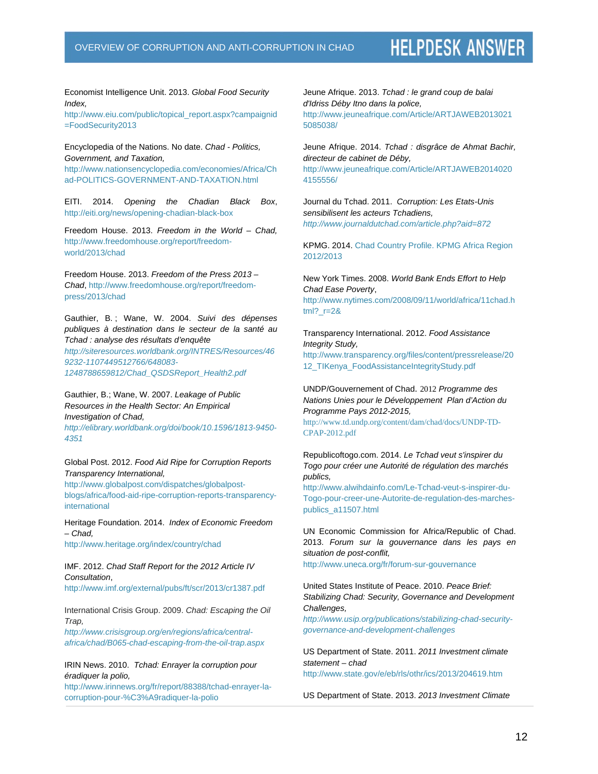Economist Intelligence Unit. 2013. *Global Food Security Index,* 

http://www.eiu.com/public/topical\_report.aspx?campaignid =FoodSecurity2013

#### Encyclopedia of the Nations. No date. *Chad - Politics, Government, and Taxation,*

http://www.nationsencyclopedia.com/economies/Africa/Ch ad-POLITICS-GOVERNMENT-AND-TAXATION.html

EITI. 2014. *Opening the Chadian Black Box*, http://eiti.org/news/opening-chadian-black-box

Freedom House. 2013. *Freedom in the World – Chad,*  http://www.freedomhouse.org/report/freedomworld/2013/chad

Freedom House. 2013. *Freedom of the Press 2013 – Chad*, http://www.freedomhouse.org/report/freedompress/2013/chad

Gauthier, B. ; Wane, W. 2004. *Suivi des dépenses publiques à destination dans le secteur de la santé au Tchad : analyse des résultats d'enquête* 

*http://siteresources.worldbank.org/INTRES/Resources/46 9232-1107449512766/648083- 1248788659812/Chad\_QSDSReport\_Health2.pdf*

Gauthier, B.; Wane, W. 2007. *Leakage of Public Resources in the Health Sector: An Empirical Investigation of Chad,* 

*http://elibrary.worldbank.org/doi/book/10.1596/1813-9450- 4351*

Global Post. 2012. *Food Aid Ripe for Corruption Reports Transparency International,*

http://www.globalpost.com/dispatches/globalpostblogs/africa/food-aid-ripe-corruption-reports-transparencyinternational

Heritage Foundation. 2014. *Index of Economic Freedom – Chad,* http://www.heritage.org/index/country/chad

IMF. 2012. *Chad Staff Report for the 2012 Article IV Consultation*, http://www.imf.org/external/pubs/ft/scr/2013/cr1387.pdf

International Crisis Group. 2009. *Chad: Escaping the Oil Trap,* 

*http://www.crisisgroup.org/en/regions/africa/centralafrica/chad/B065-chad-escaping-from-the-oil-trap.aspx*

IRIN News. 2010. *Tchad: Enrayer la corruption pour éradiquer la polio,*

http://www.irinnews.org/fr/report/88388/tchad-enrayer-lacorruption-pour-%C3%A9radiquer-la-polio

Jeune Afrique. 2013. *Tchad : le grand coup de balai d'Idriss Déby Itno dans la police,* http://www.jeuneafrique.com/Article/ARTJAWEB2013021 5085038/

Jeune Afrique. 2014. *Tchad : disgrâce de Ahmat Bachir, directeur de cabinet de Déby,*  http://www.jeuneafrique.com/Article/ARTJAWEB2014020 4155556/

Journal du Tchad. 2011. *Corruption: Les Etats-Unis sensibilisent les acteurs Tchadiens, http://www.journaldutchad.com/article.php?aid=872*

KPMG. 2014. Chad Country Profile. KPMG Africa Region 2012/2013

New York Times. 2008. *World Bank Ends Effort to Help Chad Ease Poverty*, http://www.nytimes.com/2008/09/11/world/africa/11chad.h

tml?\_r=2&

Transparency International. 2012. *Food Assistance Integrity Study,* http://www.transparency.org/files/content/pressrelease/20 12\_TIKenya\_FoodAssistanceIntegrityStudy.pdf

UNDP/Gouvernement of Chad. 2012 *Programme des Nations Unies pour le Développement Plan d'Action du Programme Pays 2012-2015,*

http://www.td.undp.org/content/dam/chad/docs/UNDP-TD-CPAP-2012.pdf

Republicoftogo.com. 2014. *Le Tchad veut s'inspirer du Togo pour créer une Autorité de régulation des marchés publics,* 

http://www.alwihdainfo.com/Le-Tchad-veut-s-inspirer-du-Togo-pour-creer-une-Autorite-de-regulation-des-marchespublics\_a11507.html

UN Economic Commission for Africa/Republic of Chad. 2013. *Forum sur la gouvernance dans les pays en situation de post-conflit,*

http://www.uneca.org/fr/forum-sur-gouvernance

United States Institute of Peace. 2010. *Peace Brief: Stabilizing Chad: Security, Governance and Development Challenges, http://www.usip.org/publications/stabilizing-chad-security-*

*governance-and-development-challenges*

US Department of State. 2011. *2011 Investment climate statement – chad* http://www.state.gov/e/eb/rls/othr/ics/2013/204619.htm

US Department of State. 2013. *2013 Investment Climate*